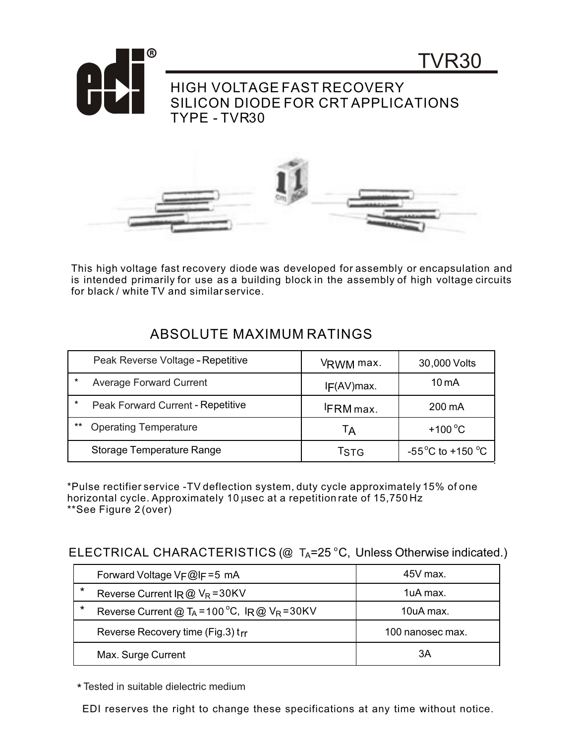

This high voltage fast recovery diode was developed for assembly or encapsulation and is intended primarily for use as a building block in the assembly of high voltage circuits for black / white TV and similar service.

|         | Peak Reverse Voltage - Repetitive | VRWM max.       | 30,000 Volts                              |
|---------|-----------------------------------|-----------------|-------------------------------------------|
| $\star$ | <b>Average Forward Current</b>    | IF(AV)max.      | 10 <sub>m</sub> A                         |
| $\star$ | Peak Forward Current - Repetitive | <b>FRM</b> max. | 200 mA                                    |
| $***$   | <b>Operating Temperature</b>      | Tд              | $+100^{\circ}$ C                          |
|         | Storage Temperature Range         | Tstg            | -55 <sup>°</sup> C to +150 <sup>°</sup> C |

## ABSOLUTE MAXIMUM RATINGS

\*Pulse rectifier service -TV deflection system, duty cycle approximately 15% of one horizontal cycle. Approximately 10 usec at a repetition rate of 15,750 Hz \*\*See Figure 2 (over)

## ELECTRICAL CHARACTERISTICS (@  $T_A = 25 °C$ , Unless Otherwise indicated.)

|         | Forward Voltage VF@IF=5 mA                                   | 45V max.         |
|---------|--------------------------------------------------------------|------------------|
| $\star$ | Reverse Current $IR@V_R = 30KV$                              | 1uA max.         |
| $\star$ | Reverse Current @ T <sub>A</sub> = 100 °C, IR @ $V_R$ = 30KV | 10uA max.        |
|         | Reverse Recovery time (Fig.3) trr                            | 100 nanosec max. |
|         | Max. Surge Current                                           | ЗA               |

\* Tested in suitable dielectric medium

EDI reserves the right to change these specifications at any time without notice.